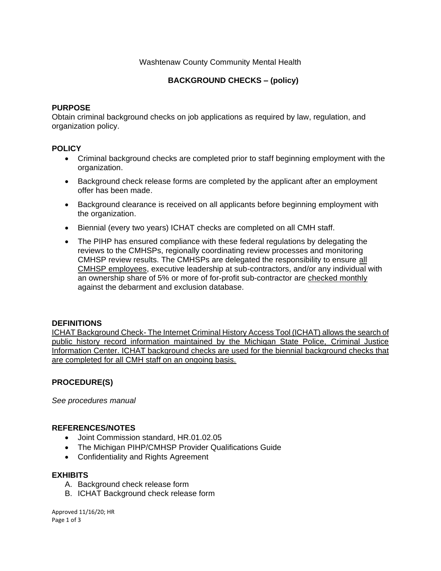# Washtenaw County Community Mental Health

# **BACKGROUND CHECKS – (policy)**

## **PURPOSE**

Obtain criminal background checks on job applications as required by law, regulation, and organization policy.

## **POLICY**

- Criminal background checks are completed prior to staff beginning employment with the organization.
- Background check release forms are completed by the applicant after an employment offer has been made.
- Background clearance is received on all applicants before beginning employment with the organization.
- Biennial (every two years) ICHAT checks are completed on all CMH staff.
- The PIHP has ensured compliance with these federal regulations by delegating the reviews to the CMHSPs, regionally coordinating review processes and monitoring CMHSP review results. The CMHSPs are delegated the responsibility to ensure all CMHSP employees, executive leadership at sub-contractors, and/or any individual with an ownership share of 5% or more of for-profit sub-contractor are checked monthly against the debarment and exclusion database.

### **DEFINITIONS**

ICHAT Background Check- The Internet Criminal History Access Tool (ICHAT) allows the search of public history record information maintained by the Michigan State Police, Criminal Justice Information Center. ICHAT background checks are used for the biennial background checks that are completed for all CMH staff on an ongoing basis.

# **PROCEDURE(S)**

*See procedures manual*

### **REFERENCES/NOTES**

- Joint Commission standard, HR.01.02.05
- The Michigan PIHP/CMHSP Provider Qualifications Guide
- Confidentiality and Rights Agreement

### **EXHIBITS**

- A. Background check release form
- B. ICHAT Background check release form

Approved 11/16/20; HR Page 1 of 3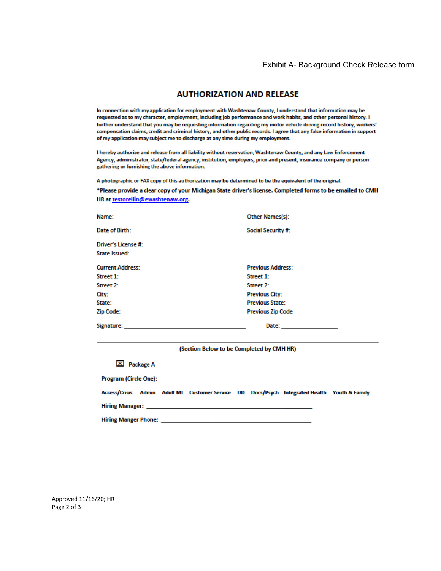#### Exhibit A- Background Check Release form

### **AUTHORIZATION AND RELEASE**

In connection with my application for employment with Washtenaw County, I understand that information may be requested as to my character, employment, including job performance and work habits, and other personal history. I further understand that you may be requesting information regarding my motor vehicle driving record history, workers' compensation claims, credit and criminal history, and other public records. I agree that any false information in support of my application may subject me to discharge at any time during my employment.

I hereby authorize and release from all liability without reservation, Washtenaw County, and any Law Enforcement Agency, administrator, state/federal agency, institution, employers, prior and present, insurance company or person gathering or furnishing the above information.

A photographic or FAX copy of this authorization may be determined to be the equivalent of the original.

\*Please provide a clear copy of your Michigan State driver's license. Completed forms to be emailed to CMH HR at testorellin@ewashtenaw.org.

| Name:                   | Other Names(s):           |  |
|-------------------------|---------------------------|--|
| Date of Birth:          | <b>Social Security #:</b> |  |
| Driver's License #:     |                           |  |
| State Issued:           |                           |  |
| <b>Current Address:</b> | <b>Previous Address:</b>  |  |
| Street 1:               | Street 1:                 |  |
| Street 2:               | Street 2:                 |  |
| City:                   | <b>Previous City:</b>     |  |
| State:                  | <b>Previous State:</b>    |  |
| Zip Code:               | <b>Previous Zip Code</b>  |  |
| Signature:              | Date:                     |  |

(Section Below to be Completed by CMH HR)

 $\boxed{\times}$  Package A

**Program (Circle One):** 

|                        |  |  | Access/Crisis Admin Adult MI Customer Service DD Docs/Psych Integrated Health Youth & Family |  |
|------------------------|--|--|----------------------------------------------------------------------------------------------|--|
| <b>Hiring Manager:</b> |  |  |                                                                                              |  |

**Hiring Manger Phone:** 

Approved 11/16/20; HR Page 2 of 3